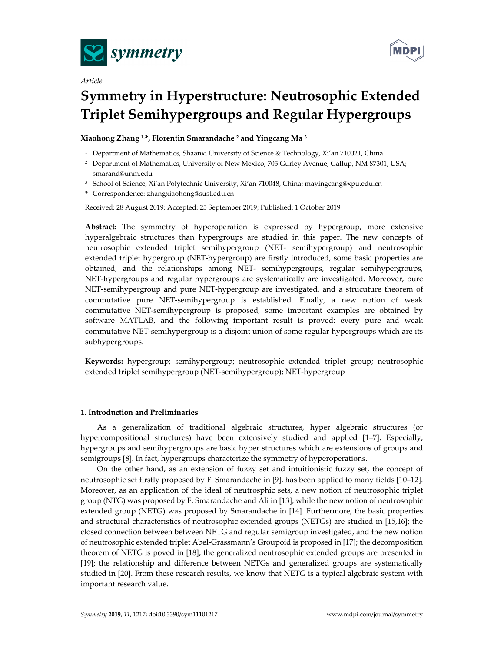

*Article* 



# **Symmetry in Hyperstructure: Neutrosophic Extended Triplet Semihypergroups and Regular Hypergroups**

## **Xiaohong Zhang 1,\*, Florentin Smarandache 2 and Yingcang Ma 3**

- <sup>1</sup> Department of Mathematics, Shaanxi University of Science & Technology, Xi'an 710021, China
- <sup>2</sup> Department of Mathematics, University of New Mexico, 705 Gurley Avenue, Gallup, NM 87301, USA; smarand@unm.edu
- <sup>3</sup> School of Science, Xi'an Polytechnic University, Xi'an 710048, China; mayingcang@xpu.edu.cn
- **\*** Correspondence: zhangxiaohong@sust.edu.cn

Received: 28 August 2019; Accepted: 25 September 2019; Published: 1 October 2019

**Abstract:** The symmetry of hyperoperation is expressed by hypergroup, more extensive hyperalgebraic structures than hypergroups are studied in this paper. The new concepts of neutrosophic extended triplet semihypergroup (NET- semihypergroup) and neutrosophic extended triplet hypergroup (NET-hypergroup) are firstly introduced, some basic properties are obtained, and the relationships among NET- semihypergroups, regular semihypergroups, NET-hypergroups and regular hypergroups are systematically are investigated. Moreover, pure NET-semihypergroup and pure NET-hypergroup are investigated, and a strucuture theorem of commutative pure NET-semihypergroup is established. Finally, a new notion of weak commutative NET-semihypergroup is proposed, some important examples are obtained by software MATLAB, and the following important result is proved: every pure and weak commutative NET-semihypergroup is a disjoint union of some regular hypergroups which are its subhypergroups.

**Keywords:** hypergroup; semihypergroup; neutrosophic extended triplet group; neutrosophic extended triplet semihypergroup (NET-semihypergroup); NET-hypergroup

#### **1. Introduction and Preliminaries**

As a generalization of traditional algebraic structures, hyper algebraic structures (or hypercompositional structures) have been extensively studied and applied [1–7]. Especially, hypergroups and semihypergroups are basic hyper structures which are extensions of groups and semigroups [8]. In fact, hypergroups characterize the symmetry of hyperoperations.

On the other hand, as an extension of fuzzy set and intuitionistic fuzzy set, the concept of neutrosophic set firstly proposed by F. Smarandache in [9], has been applied to many fields [10–12]. Moreover, as an application of the ideal of neutrosphic sets, a new notion of neutrosophic triplet group (NTG) was proposed by F. Smarandache and Ali in [13], while the new notion of neutrosophic extended group (NETG) was proposed by Smarandache in [14]. Furthermore, the basic properties and structural characteristics of neutrosophic extended groups (NETGs) are studied in [15,16]; the closed connection between between NETG and regular semigroup investigated, and the new notion of neutrosophic extended triplet Abel-Grassmann's Groupoid is proposed in [17]; the decomposition theorem of NETG is poved in [18]; the generalized neutrosophic extended groups are presented in [19]; the relationship and difference between NETGs and generalized groups are systematically studied in [20]. From these research results, we know that NETG is a typical algebraic system with important research value.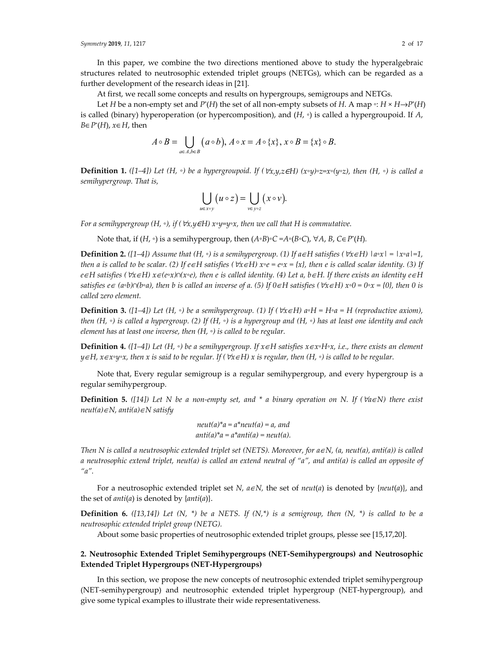*Symmetry* **2019**, *11*, 1217 2 of 17

In this paper, we combine the two directions mentioned above to study the hyperalgebraic structures related to neutrosophic extended triplet groups (NETGs), which can be regarded as a further development of the research ideas in [21].

At first, we recall some concepts and results on hypergroups, semigroups and NETGs.

Let *H* be a non-empty set and *P*<sup>\*</sup>(*H*) the set of all non-empty subsets of *H*. A map  $\circ$ : *H*  $\times$  *H* $\rightarrow$ *P*<sup>\*</sup>(*H*) is called (binary) hyperoperation (or hypercomposition), and (*H*, ◦) is called a hypergroupoid. If *A*, *B*∈*P*\* (*H*), *x*∈*H*, then

$$
A\circ B=\bigcup_{a\in A,b\in B}(a\circ b),\ A\circ x=A\circ\{x\},\ x\circ B=\{x\}\circ B.
$$

**Definition 1.**  $([1-4])$  Let  $(H, \circ)$  be a hypergroupoid. If  $(\forall x, y, z \in H)$   $(x \circ y) \circ z = x \circ (y \circ z)$ , then  $(H, \circ)$  is called a *semihypergroup. That is,* 

$$
\bigcup_{u \in x \circ y} (u \circ z) = \bigcup_{v \in y \circ z} (x \circ v).
$$

*For a semihypergroup (H, ◦), if (*∀*x,y*∈*H) x◦y=y◦x, then we call that H is commutative.* 

Note that, if (*H*, ◦) is a semihypergroup, then (*A◦B*)*◦C =A◦*(*B◦C*), ∀*A*, *B*, *C*∈*P*\* (*H*)*.* 

**Definition 2.**  $([1-4])$  Assume that  $(H, \circ)$  is a semihypergroup. (1) If a∈H satisfies ( $\forall x \in H$ )  $|a \circ x| = |x \circ a| = 1$ , *then a is called to be scalar.* (2) If  $e \in H$  satisfies ( $\forall x \in H$ )  $x \circ e = e \circ x = \{x\}$ , then e is called scalar identity. (3) If *e*∈*H satisfies (*∀*x*∈*H) x*∈*(e◦x)∩(x◦e), then e is called identity. (4) Let a, b*∈*H. If there exists an identity e*∈*H satisfies*  $e \in (a \circ b) \cap (b \circ a)$ , then b is called an inverse of a. (5) If  $0 \in H$  satisfies ( $\forall x \in H$ )  $x \circ 0 = 0 \circ x = \{0\}$ , then 0 is *called zero element.* 

**Definition 3.**  $([1-4])$  Let  $(H, \circ)$  be a semihypergroup. (1) If  $(\forall x \in H)$  a<sup>*o*</sup>H = H<sup>*o*</sup>**a** = H (reproductive axiom), *then (H, ◦) is called a hypergroup. (2) If (H, ◦) is a hypergroup and (H, ◦) has at least one identity and each element has at least one inverse, then (H, ◦) is called to be regular.* 

**Definition 4.** ([1–4]) Let (H, ∘) be a semihypergroup. If  $x \in H$  satisfies  $x \in x \circ H \circ x$ , i.e., there exists an element *y*∈*H, x*∈*x◦y◦x, then x is said to be regular. If (*∀*x*∈*H) x is regular, then (H, ◦) is called to be regular.* 

Note that, Every regular semigroup is a regular semihypergroup, and every hypergroup is a regular semihypergroup.

**Definition 5.** *([14]) Let N be a non-empty set, and \* a binary operation on N. If (*∀*a*∈*N) there exist neut(a)*∈*N, anti(a)*∈*N satisfy* 

> *neut(a)\*a = a\*neut(a) = a, and*   $anti(a)*a = a*anti(a) = neut(a)$ .

*Then N is called a neutrosophic extended triplet set (NETS). Moreover, for a*∈*N, (a, neut(a), anti(a)) is called a neutrosophic extend triplet, neut(a) is called an extend neutral of "a", and anti(a) is called an opposite of "a".* 

For a neutrosophic extended triplet set *N, a*∈*N,* the set of *neut*(*a*) is denoted by {*neut*(*a*)}, and the set of *anti*(*a*) is denoted by {*anti*(*a*)}.

**Definition 6.** *([13,14]) Let (N, \*) be a NETS. If*  $(N,*)$  *is a semigroup, then*  $(N,*)$  *is called to be a neutrosophic extended triplet group (NETG).* 

About some basic properties of neutrosophic extended triplet groups, plesse see [15,17,20].

## **2. Neutrosophic Extended Triplet Semihypergroups (NET-Semihypergroups) and Neutrosophic Extended Triplet Hypergroups (NET-Hypergroups)**

In this section, we propose the new concepts of neutrosophic extended triplet semihypergroup (NET-semihypergroup) and neutrosophic extended triplet hypergroup (NET-hypergroup), and give some typical examples to illustrate their wide representativeness.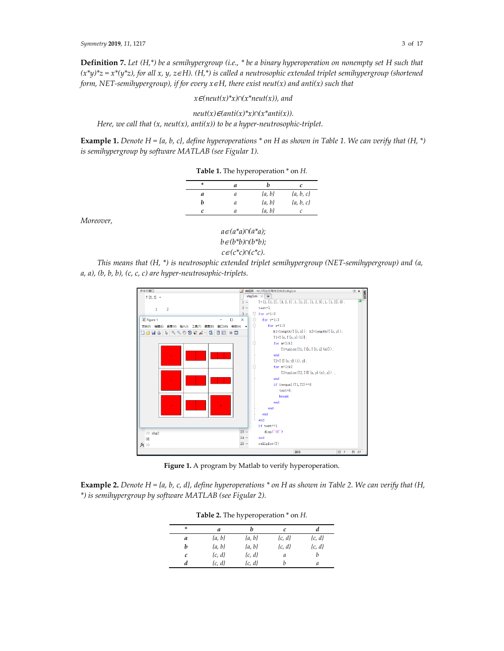**Definition 7.** *Let (H,\*) be a semihypergroup (i.e., \* be a binary hyperoperation on nonempty set H such that (x\*y)\*z = x\*(y\*z), for all x, y, z*∈*H). (H,\*) is called a neutrosophic extended triplet semihypergroup (shortened form, NET-semihypergroup), if for every x*∈*H, there exist neut(x) and anti(x) such that* 

*x*∈*(neut(x)\*x)∩(x\*neut(x)), and* 

 $neut(x) \in (anti(x)*x) \cap (x*anti(x)).$ *Here, we call that*  $(x, \text{neut}(x), \text{anti}(x))$  *to be a hyper-neutrosophic-triplet.* 

**Example 1.** *Denote H = {a, b, c}, define hyperoperations \* on H as shown in Table 1. We can verify that (H, \*) is semihypergroup by software MATLAB (see Figular 1).* 

| ÷ | а |            | c             |
|---|---|------------|---------------|
| a | а | $\{a, b\}$ | $\{a, b, c\}$ |
|   | a | $\{a, b\}$ | $\{a, b, c\}$ |
|   |   | $\{a, b\}$ |               |

*Moreover,* 



*This means that (H, \*) is neutrosophic extended triplet semihypergroup (NET-semihypergroup) and (a, a, a), (b, b, b), (c, c, c) are hyper-neutrosophic-triplets.* 



**Figure 1.** A program by Matlab to verify hyperoperation.

**Example 2.** *Denote H = {a, b, c, d}, define hyperoperations \* on H as shown in Table 2. We can verify that (H, \*) is semihypergroup by software MATLAB (see Figular 2).* 

| Table 2. The hyperoperation $*$ on $H$ . |            |            |            |            |  |
|------------------------------------------|------------|------------|------------|------------|--|
| ÷                                        | а          |            | c          |            |  |
| а                                        | $\{a, b\}$ | $\{a, b\}$ | $\{c, d\}$ | $\{c, d\}$ |  |
| h                                        | $\{a, b\}$ | $\{a, b\}$ | $\{c, d\}$ | $\{c, d\}$ |  |

*c {c, d} {c, d} a b d {c, d} {c, d} b a*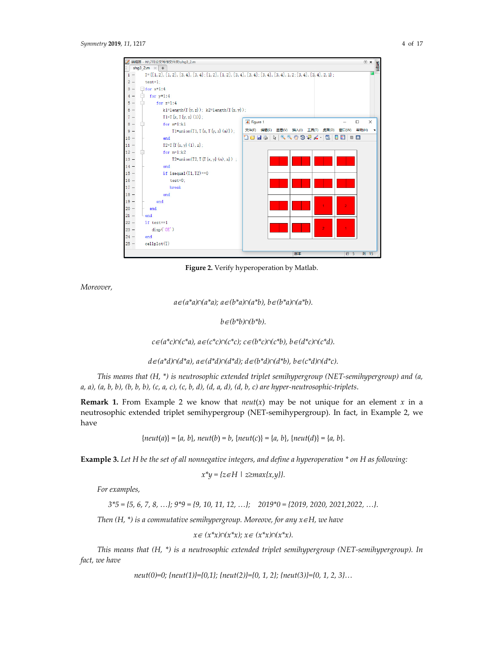

**Figure 2.** Verify hyperoperation by Matlab.

*Moreover,* 

*a*∈*(a\*a)∩(a\*a); a*∈*(b\*a)∩(a\*b), b*∈*(b\*a)∩(a\*b).*

*b*∈*(b\*b)∩(b\*b).* 

*c*∈*(a\*c)∩(c\*a), a*∈*(c\*c)∩(c\*c); c*∈*(b\*c)∩(c\*b), b*∈*(d\*c)∩(c\*d).*

*d*∈*(a\*d)∩(d\*a), a*∈*(d\*d)∩(d\*d); d*∈*(b\*d)∩(d\*b), b*∈*(c\*d)∩(d\*c).*

*This means that (H, \*) is neutrosophic extended triplet semihypergroup (NET-semihypergroup) and (a, a, a), (a, b, b), (b, b, b), (c, a, c), (c, b, d), (d, a, d), (d, b, c) are hyper-neutrosophic-triplets*.

**Remark 1.** From Example 2 we know that  $neut(x)$  may be not unique for an element  $x$  in a neutrosophic extended triplet semihypergroup (NET-semihypergroup). In fact, in Example 2, we have

{*neut*(*a*)} = {*a, b*}, *neut*(*b*) = *b*, {*neut*(*c*)} = {*a, b*}, {*neut*(*d*)} = {*a, b*}.

**Example 3.** *Let H be the set of all nonnegative integers, and define a hyperoperation \* on H as following:* 

$$
x^*y = \{z \in H \mid z \ge max\{x,y\}\}.
$$

*For examples,* 

*3\*5 = {5, 6, 7, 8, …}; 9\*9 = {9, 10, 11, 12, …}; 2019\*0 = {2019, 2020, 2021,2022, …}.*

*Then (H, \*) is a commutative semihypergroup. Moreove, for any x*∈*H, we have* 

*x*∈ *(x\*x)∩(x\*x); x*∈ *(x\*x)∩(x\*x).*

*This means that (H, \*) is a neutrosophic extended triplet semihypergroup (NET-semihypergroup). In fact, we have* 

*neut(0)=0; {neut(1)}={0,1}; {neut(2)}={0, 1, 2}; {neut(3)}={0, 1, 2, 3}…*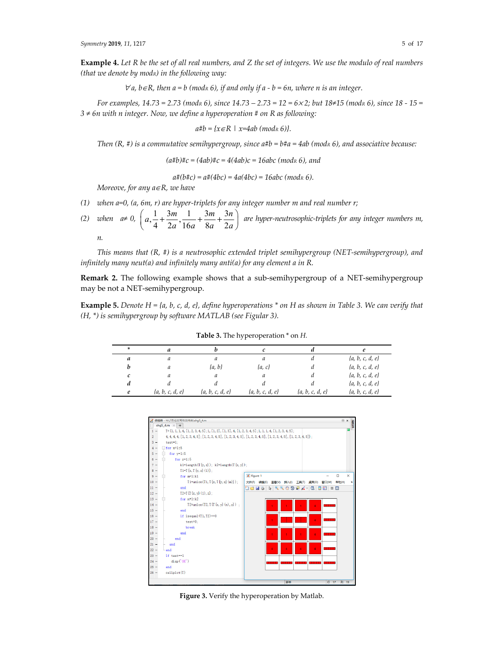**Example 4.** *Let R be the set of all real numbers, and Z the set of integers. We use the modulo of real numbers (that we denote by modR) in the following way:* 

 $∀a, b∈R, then a = b (mod<sub>R</sub> 6), if and only if a - b = 6n, where n is an integer.$ 

*For examples, 14.73* = 2.73 (*modR 6), since 14.73* − 2.73 = 12 = 6×2; but 18≠15 (*modR 6), since* 18 - 15 = *3 ≠ 6n with n integer. Now, we define a hyperoperation # on R as following:* 

*a#b = {x*∈*R | x=4ab (modR 6)}.*

*Then* (R, #) is a commutative semihypergroup, since a#b = b#a = 4ab (mod $\kappa$  6), and associative because:

 $(a\#b)\#c = (4ab)\#c = 4(4ab)c = 16abc \pmod{6}$ , and

 $a#(b#c) = a#(4bc) = 4a(4bc) = 16abc \pmod{6}$ .

*Moreove, for any a*∈*R, we have* 

- *(1) when a=0, (a, 6m, r) are hyper-triplets for any integer number m and real number r;*
- (2) *when*  $a≠ 0, \left(a, \frac{1}{a}, \frac{3m}{b}, \frac{1}{a} + \frac{3m}{c} + \frac{3}{a}\right)$  $4$   $2a$   $16a$   $8a$   $2$  $a_1 + \frac{3m}{2}$ ,  $\frac{1}{2} + \frac{3m}{2} + \frac{3n}{2}$  $\left(a, \frac{1}{4} + \frac{3m}{2a}, \frac{1}{16a} + \frac{3m}{8a} + \frac{3n}{2a}\right)$  are hyper-neutrosophic-triplets for any integer numbers m,

*n.* 

*This means that (R, #) is a neutrosophic extended triplet semihypergroup (NET-semihypergroup), and infinitely many neut(a) and infinitely many anti(a) for any element a in R.* 

**Remark 2.** The following example shows that a sub-semihypergroup of a NET-semihypergroup may be not a NET-semihypergroup.

**Example 5.** *Denote H = {a, b, c, d, e}, define hyperoperations \* on H as shown in Table 3. We can verify that (H, \*) is semihypergroup by software MATLAB (see Figular 3).* 

| ÷ | a                   |                     | c                   |                     | е                   |
|---|---------------------|---------------------|---------------------|---------------------|---------------------|
| а | a                   | a                   | а                   |                     | $\{a, b, c, d, e\}$ |
| b | a                   | $\{a, b\}$          | $\{a, c\}$          |                     | $\{a, b, c, d, e\}$ |
| c | a                   | a                   | a                   |                     | $\{a, b, c, d, e\}$ |
| d |                     |                     | d                   |                     | $\{a, b, c, d, e\}$ |
| e | $\{a, b, c, d, e\}$ | $\{a, b, c, d, e\}$ | $\{a, b, c, d, e\}$ | $\{a, b, c, d, e\}$ | $\{a, b, c, d, e\}$ |

**Table 3.** The hyperoperation \* on *H.*



**Figure 3.** Verify the hyperoperation by Matlab.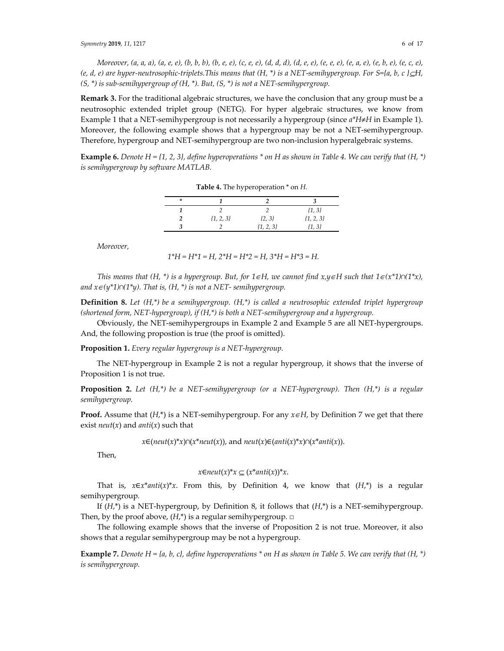*Moreover, (a, a, a), (a, e, e), (b, b, b), (b, e, e), (c, e, e), (d, d, d), (d, e, e), (e, e, e), (e, a, e), (e, b, e), (e, c, e), (e, d, e) are hyper-neutrosophic-triplets.This means that (H, \*) is a NET-semihypergroup. For S={a, b, c }*⊆*H, (S, \*) is sub-semihypergroup of (H, \*). But, (S, \*) is not a NET-semihypergroup.* 

**Remark 3.** For the traditional algebraic structures, we have the conclusion that any group must be a neutrosophic extended triplet group (NETG). For hyper algebraic structures, we know from Example 1 that a NET-semihypergroup is not necessarily a hypergroup (since *a\*H*≠*H* in Example 1). Moreover, the following example shows that a hypergroup may be not a NET-semihypergroup. Therefore, hypergroup and NET-semihypergroup are two non-inclusion hyperalgebraic systems.

**Example 6.** *Denote H = {1, 2, 3}, define hyperoperations \* on H as shown in Table 4. We can verify that (H, \*) is semihypergroup by software MATLAB.* 

| ∗ |               |               |               |
|---|---------------|---------------|---------------|
|   |               |               | $\{1, 3\}$    |
|   | $\{1, 2, 3\}$ | $\{2, 3\}$    | $\{1, 2, 3\}$ |
|   |               | $\{1, 2, 3\}$ | {1, 3}        |

**Table 4.** The hyperoperation \* on *H.*

*Moreover,* 

*1\*H = H\*1 = H, 2\*H = H\*2 = H, 3\*H = H\*3 = H.* 

*This means that (H, \*) is a hypergroup. But, for*  $1 \in H$ *, we cannot find*  $x, y \in H$  *such that*  $1 \in (x^*1) \cap (1^*x)$ *, and*  $x ∈ (y^*1) ∩ (1^*y)$ . *That is,*  $(H, * )$  *is not a NET- semihypergroup.* 

**Definition 8.** *Let (H,\*) be a semihypergroup. (H,\*) is called a neutrosophic extended triplet hypergroup (shortened form, NET-hypergroup), if (H,\*) is both a NET-semihypergroup and a hypergroup.* 

Obviously, the NET-semihypergroups in Example 2 and Example 5 are all NET-hypergroups. And, the following propostion is true (the proof is omitted).

**Proposition 1.** *Every regular hypergroup is a NET-hypergroup.* 

The NET-hypergroup in Example 2 is not a regular hypergroup, it shows that the inverse of Proposition 1 is not true.

**Proposition 2.** *Let (H,\*) be a NET-semihypergroup (or a NET-hypergroup). Then (H,\*) is a regular semihypergroup.* 

**Proof.** Assume that (*H*,\*) is a NET-semihypergroup. For any *x*∈*H*, by Definition 7 we get that there exist *neut*(*x*) and *anti*(*x*) such that

*x*∈( $neut(x)*x$ )∩( $x*neut(x)$ ), and  $neut(x) \in (anti(x)*x) \cap (x*anti(x))$ .

Then,

$$
x \in \text{neut}(x)^* x \subseteq (x^* \text{anti}(x))^* x.
$$

That is,  $x \in x^*$ *anti*(*x*)\**x*. From this, by Definition 4, we know that  $(H^*)$  is a regular semihypergroup*.*

If (*H*,\*) is a NET-hypergroup, by Definition 8, it follows that (*H*,\*) is a NET-semihypergroup. Then, by the proof above, (*H*,\*) is a regular semihypergroup*.* □

The following example shows that the inverse of Proposition 2 is not true. Moreover, it also shows that a regular semihypergroup may be not a hypergroup.

**Example 7.** *Denote H* = {*a, b, c}, define hyperoperations* \* *on H as shown in Table 5. We can verify that* (*H,* \*) *is semihypergroup.*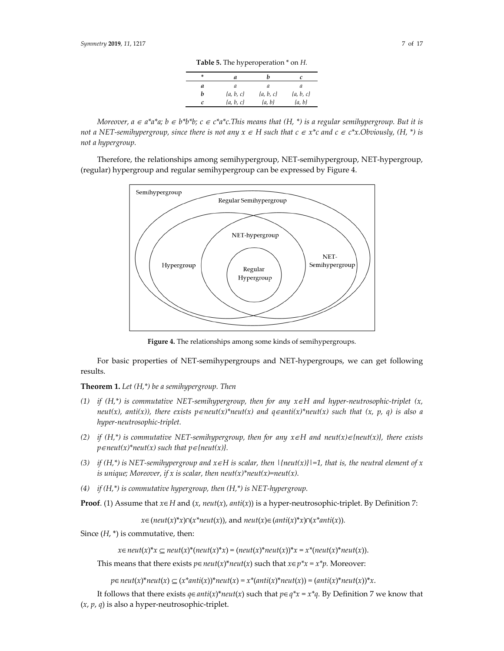| ÷ | а             | n             |               |
|---|---------------|---------------|---------------|
| а | а             | а             | а             |
|   | $\{a, b, c\}$ | $\{a, b, c\}$ | $\{a, b, c\}$ |
|   | $\{a, b, c\}$ | $\{a, b\}$    | $\{a, b\}$    |

*Moreover, a* ∈  $a^*a^*a$ ;  $b \in b^*b^*b$ ;  $c \in c^*a^*c$ . This means that  $(H, *)$  is a regular semihypergroup. But it is *not a NET-semihypergroup, since there is not any*  $x \in H$  *such that*  $c \in x^*c$  *and*  $c \in c^*x$ *. Obviously, (H, \*) is not a hypergroup.* 

Therefore, the relationships among semihypergroup, NET-semihypergroup, NET-hypergroup, (regular) hypergroup and regular semihypergroup can be expressed by Figure 4.



**Figure 4.** The relationships among some kinds of semihypergroups.

For basic properties of NET-semihypergroups and NET-hypergroups, we can get following results.

**Theorem 1.** *Let (H,\*) be a semihypergroup. Then* 

- *(1) if (H,\*) is commutative NET-semihypergroup, then for any x*∈*H and hyper-neutrosophic-triplet (x, neut(x), anti(x)), there exists p*∈*neut(x)\*neut(x) and q*∈*anti(x)\*neut(x) such that (x, p, q) is also a hyper-neutrosophic-triplet.*
- *(2) if (H,\*) is commutative NET-semihypergroup, then for any x*∈*H and neut(x)*∈*{neut(x)}, there exists p*∈*neut*(*x*)\**neut*(*x*) *such that p*∈{*neut*(*x*)}.
- *(3) if (H,\*) is NET-semihypergroup and x*∈*H is scalar, then |{neut(x)}|=1, that is, the neutral element of x is unique; Moreover, if x is scalar, then neut* $(x)$ \**neut* $(x)$ =*neut* $(x)$ .
- *(4) if (H,\*) is commutative hypergroup, then (H,\*) is NET-hypergroup.*

**Proof**. (1) Assume that  $x \in H$  and  $(x, \text{neut}(x), \text{anti}(x))$  is a hyper-neutrosophic-triplet. By Definition 7:

*x*∈( $neut(x)*x$ )∩( $x*neut(x)$ ), and  $neut(x) \in (anti(x)*x) \cap (x*anti(x))$ .

Since  $(H, *)$  is commutative, then:

*x*∈*neut*(*x*)\**x* ⊆ *neut*(*x*)\*(*neut*(*x*)\**x*) = (*neut*(*x*)\**neut*(*x*))\**x* = *x*<sup>\*</sup>(*neut*(*x*)\**neut*(*x*)).

This means that there exists  $p \in neutr(x)^*$ *neut*(*x*) such that  $x \in p^*x = x^*p$ . Moreover:

*p*∈*neut*(*x*)\**neut*(*x*) ⊆ (*x*\**anti*(*x*))\**neut*(*x*) = *x*\*(*anti*(*x*)\**neut*(*x*)) = (*anti*(*x*)\**neut*(*x*))\**x*.

It follows that there exists *q*∈*anti*(*x*)\**neut*(*x*) such that *p*∈*q\*x* = *x\*q.* By Definition 7 we know that (*x*, *p*, *q*) is also a hyper-neutrosophic-triplet.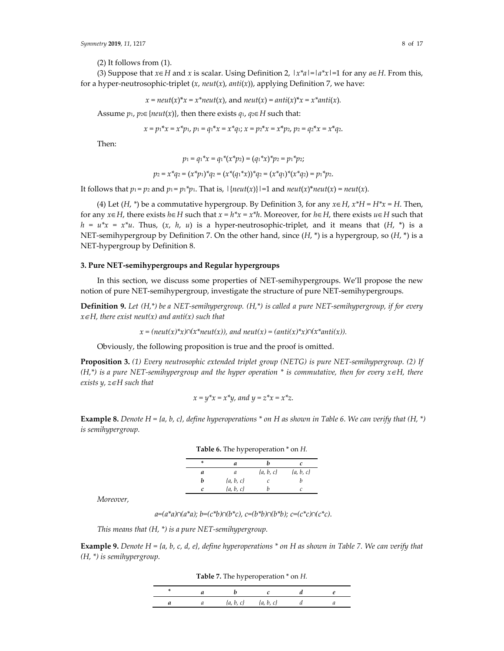(2) It follows from (1).

(3) Suppose that *x*∈*H* and *x* is scalar. Using Definition 2, |*x\*a*|=|*a\*x*|=1 for any *a*∈*H*. From this, for a hyper-neutrosophic-triplet (*x*, *neut*(*x*), *anti*(*x*)), applying Definition 7, we have:

$$
x = neut(x)^*x = x^*neut(x)
$$
, and  $neut(x) = anti(x)^*x = x^*anti(x)$ .

Assume  $p_1$ ,  $p_2 \in \{neut(x)\}\$ , then there exists  $q_1$ ,  $q_2 \in H$  such that:

$$
x = p_1 * x = x * p_1, p_1 = q_1 * x = x * q_1; x = p_2 * x = x * p_2, p_2 = q_2 * x = x * q_2.
$$

Then:

$$
p_1 = q_1 * x = q_1 * (x * p_2) = (q_1 * x) * p_2 = p_1 * p_2;
$$

$$
p_2 = x^* q_2 = (x^* p_1)^* q_2 = (x^* (q_1^* x))^* q_2 = (x^* q_1)^* (x^* q_2) = p_1^* p_2.
$$

It follows that  $p_1 = p_2$  and  $p_1 = p_1 * p_1$ . That is,  $|\{neut(x)\}| = 1$  and  $neut(x)*neut(x) = neut(x)$ .

(4) Let  $(H, \ast)$  be a commutative hypergroup. By Definition 3, for any  $x \in H$ ,  $x^*H = H^*x = H$ . Then, for any *x*∈*H*, there exists *h*∈*H* such that *x* = *h\*x* = *x\*h*. Moreover, for *h*∈*H*, there exists *u*∈*H* such that  $h = u^*x = x^*u$ . Thus,  $(x, h, u)$  is a hyper-neutrosophic-triplet, and it means that  $(H, *)$  is a NET-semihypergroup by Definition 7. On the other hand, since (*H*, \*) is a hypergroup, so (*H*, \*) is a NET-hypergroup by Definition 8.

### **3. Pure NET-semihypergroups and Regular hypergroups**

In this section, we discuss some properties of NET-semihypergroups. We'll propose the new notion of pure NET-semihypergroup, investigate the structure of pure NET-semihypergroups.

**Definition 9.** *Let (H,\*) be a NET-semihypergroup. (H,\*) is called a pure NET-semihypergroup, if for every x*∈*H, there exist neut(x) and anti(x) such that* 

 $x = (neut(x)*x) \cap (x*neut(x))$ , and  $neut(x) = (anti(x)*x) \cap (x*anti(x))$ .

Obviously, the following proposition is true and the proof is omitted.

**Proposition 3.** *(1) Every neutrosophic extended triplet group (NETG) is pure NET-semihypergroup. (2) If (H,\*) is a pure NET-semihypergroup and the hyper operation \* is commutative, then for every x*∈*H, there exists y, z*∈*H such that* 

$$
x = y^*x = x^*y
$$
, and  $y = z^*x = x^*z$ .

**Example 8.** *Denote H = {a, b, c}, define hyperoperations \* on H as shown in Table 6. We can verify that (H, \*) is semihypergroup.* 

| Table 6. The hyperoperation $*$ on $H$ . |               |               |               |  |  |  |
|------------------------------------------|---------------|---------------|---------------|--|--|--|
| ×                                        | а             |               | c             |  |  |  |
| а                                        | а             | $\{a, b, c\}$ | $\{a, b, c\}$ |  |  |  |
| h                                        | $\{a, b, c\}$ |               |               |  |  |  |
| C                                        | $\{a, b, c\}$ |               |               |  |  |  |

*Moreover,* 

*a=(a\*a)∩(a\*a); b=(c\*b)∩(b\*c), c=(b\*b)∩(b\*b); c=(c\*c)∩(c\*c).*

*This means that (H, \*) is a pure NET-semihypergroup.* 

**Example 9.** *Denote H = {a, b, c, d, e}, define hyperoperations \* on H as shown in Table 7. We can verify that (H, \*) is semihypergroup.* 

**Table 7.** The hyperoperation \* on *H.*

|  | $\{a, b, c\}$ $\{a, b, c\}$ |  |  |
|--|-----------------------------|--|--|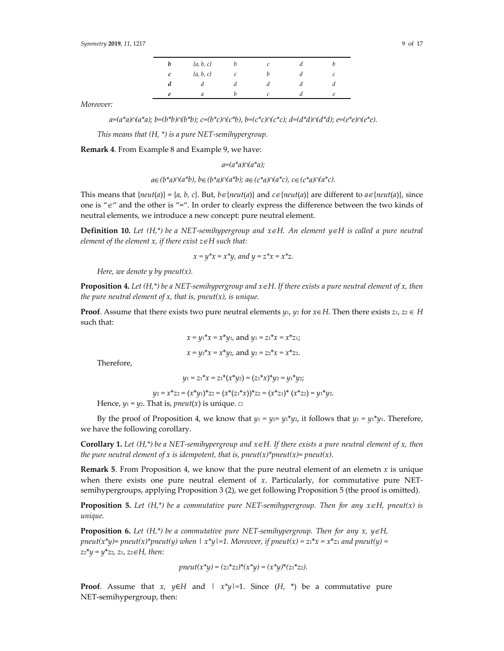| v | $\{a, b, c\}$ |   | C | $\mu$ |   |
|---|---------------|---|---|-------|---|
| c | $\{a, b, c\}$ | ı |   | и     |   |
| a | и             | и | а | a     | и |
| e | и             |   |   | и     |   |

*Moreover:* 

*a=(a\*a)∩(a\*a); b=(b\*b)∩(b\*b); c=(b\*c)∩(c\*b), b=(c\*c)∩(c\*c); d=(d\*d)∩(d\*d); e=(e\*e)∩(e\*e).*

*This means that (H, \*) is a pure NET-semihypergroup.* 

**Remark 4**. From Example 8 and Example 9, we have:

*a=(a\*a)∩(a\*a);*

*a*∈*(b\*a)∩(a\*b), b*∈*(b\*a)∩(a\*b); a*∈*(c\*a)∩(a\*c), c*∈*(c\*a)∩(a\*c).*

This means that  $\{neu(ta)\} = \{a, b, c\}$ . But,  $b \in \{neu(ta)\}$  and  $c \in \{neu(ta)\}$  are different to  $a \in \{neu(ta)\}$ , since one is " $\epsilon$ " and the other is "=". In order to clearly express the difference between the two kinds of neutral elements, we introduce a new concept: pure neutral element.

**Definition 10.** *Let (H,\*) be a NET-semihypergroup and x*∈*H. An element y*∈*H is called a pure neutral element of the element x, if there exist z*∈*H such that:* 

$$
x = y^*x = x^*y
$$
, and  $y = z^*x = x^*z$ .

*Here, we denote y by pneut(x).* 

**Proposition 4.** *Let (H,\*) be a NET-semihypergroup and x*∈*H. If there exists a pure neutral element of x, then the pure neutral element of x, that is, pneut(x), is unique.* 

**Proof**. Assume that there exists two pure neutral elements  $y_1$ ,  $y_2$  for  $x \in H$ . Then there exists  $z_1$ ,  $z_2 \in H$ such that:

$$
x = y_1 * x = x * y_1
$$
, and  $y_1 = z_1 * x = x * z_1$ ;  
\n $x = y_2 * x = x * y_2$ , and  $y_2 = z_2 * x = x * z_2$ .

Therefore,

$$
y_1 = z_1^* x = z_1^* (x^* y_2) = (z_1^* x)^* y_2 = y_1^* y_2;
$$

*y*2 *= x*\**z*2 *=* (*x*\**y*1)\**z*<sup>2</sup> *=* (*x*\*(*z*1\**x*))\**z*<sup>2</sup> *=* (*x*\**z*1)\* (*x*\**z*2) *= y*1\**y*2.

Hence,  $y_1 = y_2$ . That is, *pneut*(*x*) is unique.  $\Box$ 

By the proof of Proposition 4, we know that  $y_1 = y_2 = y_1 * y_2$ , it follows that  $y_1 = y_1 * y_1$ . Therefore, we have the following corollary.

**Corollary 1.** *Let (H,\*) be a NET-semihypergroup and x*∈*H. If there exists a pure neutral element of x, then the pure neutral element of x is idempotent, that is, pneut(x)\*pneut(x)= pneut(x).* 

**Remark 5**. From Proposition 4, we know that the pure neutral element of an elemetn *x* is unique when there exists one pure neutral element of *x*. Particularly, for commutative pure NETsemihypergroups, applying Proposition 3 (2), we get following Proposition 5 (the proof is omitted).

**Proposition 5.** *Let*  $(H,*)$  *be a commutative pure NET-semihypergroup. Then for any*  $x \in H$ *, pneut(x) is unique.* 

**Proposition 6.** Let  $(H,^*)$  be a commutative pure NET-semihypergroup. Then for any x,  $y \in H$ , *pneut*( $x^*y$ )= pneut( $x^*y$ )= *pneut(y)* when  $|x^*y|=1$ . Moreover, if pneut( $x$ ) =  $z^*x = x^*z$  *and pneut(y)* = *z*2\**y = y*\**z*2*, z*1, *z*2<sup>∈</sup>*H, then:* 

$$
pneut(x^*y) = (z_1^*z_2)^*(x^*y) = (x^*y)^*(z_1^*z_2).
$$

**Proof.** Assume that *x*,  $y \in H$  and  $|x^*y|=1$ . Since  $(H, * )$  be a commutative pure NET-semihypergroup, then: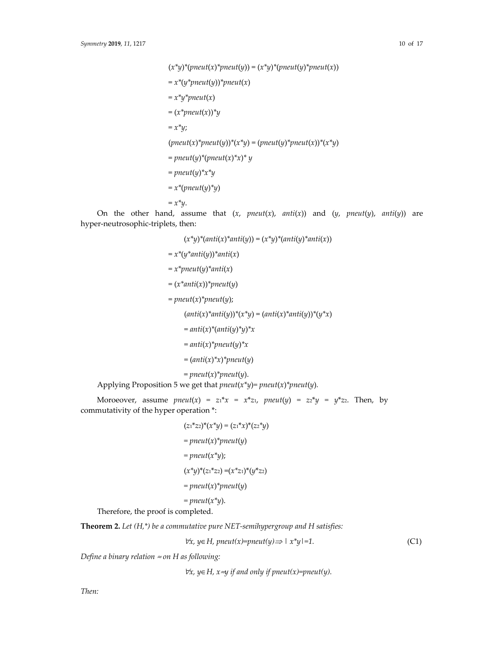$(x^*y)^*(pneut(x)^*pneut(y)) = (x^*y)^*(pneut(y)^*pneut(x))$  $= x^*(y^*pneut(y))^*pneut(x)$  $= x^*y^*pneut(x)$ = (*x\*pneut*(*x*))*\*y*  $= x^*y;$  $(pneut(x)*pneut(y)*(x*y) = (pneut(y)*pneut(x))*(x*y)$  $=$  *pneut*(*y*)<sup>\*</sup>(*pneut*(*x*)<sup>\*</sup>*x*)<sup>\*</sup> *y* = *pneut*(*y*)*\*x\*y*  $= x^*(pneut(y)^*y)$  $= x^*y$ .

On the other hand, assume that  $(x, pneut(x), anti(x))$  and  $(y, pneut(y), anti(y))$  are hyper-neutrosophic-triplets, then:

(*x\*y*)*\**(*anti*(*x*)*\*anti*(*y*)) = (*x\*y*)*\**(*anti*(*y*)*\*anti*(*x*)) = *x\**(*y\*anti*(*y*))*\*anti*(*x*)  $= x^*pneut(y)^*anti(x)$  $=(x^*anti(x))^*pneut(y)$  $=$  *pneut*(*x*)<sup>\*</sup>*pneut*(*y*);  $(anti(x)*anti(y))*(*y) * (x*y) = (anti(x)*anti(y))*y*x)$  $=$ anti(x)<sup>\*</sup>(anti(y)<sup>\*</sup>y)<sup>\*</sup>x  $=$  *anti*(*x*)<sup>\*</sup>*pneut*(*y*)<sup>\*</sup>*x*  $= (anti(x)*x)*pneut(y)$  $=$  *pneut*(*x*)<sup>\*</sup> *pneut*(*y*). Applying Proposition 5 we get that *pneut*(*x\*y*)*= pneut*(*x*)*\*pneut*(*y*)*.*

Moroeover, assume  $pneut(x) = z_1 * x = x * z_1$ ,  $pneut(y) = z_2 * y = y * z_2$ . Then, by commutativity of the hyper operation \*:

$$
(z_1 * z_2)^*(x^*y) = (z_1 * x)^*(z_2 * y)
$$
  
= *pneut(x)\*pneut(y)*  
= *pneut(x\* y);*  

$$
(x^*y)^*(z_1 * z_2) = (x^*z_1)^*(y^*z_2)
$$
  
= *pneut(x)\*pneut(y)*  
= *pneut(x\* y).*

Therefore, the proof is completed.

**Theorem 2.** *Let (H,\*) be a commutative pure NET-semihypergroup and H satisfies:* 

$$
\forall x, y \in H, \text{pneut}(x) = \text{pneut}(y) \Longrightarrow |x^*y| = 1. \tag{C1}
$$

*Define a binary relation* ≈ *on H as following:* 

<sup>∀</sup>*x, y*∈*H, x*≈*y if and only if pneut(x)=pneut(y).*

*Then:*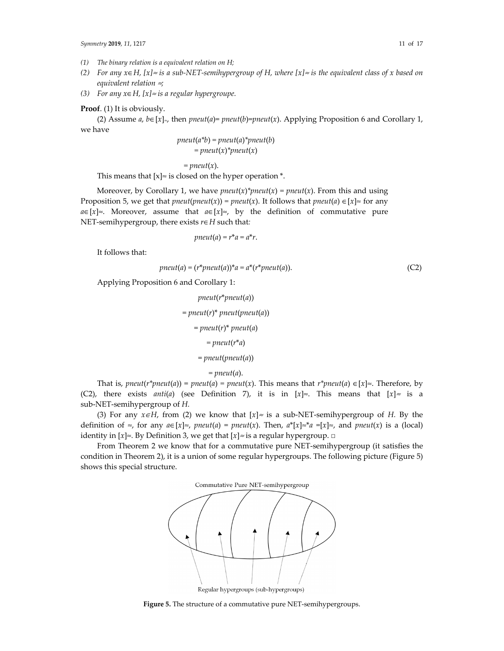- *(1) The binary relation is a equivalent relation on H;*
- *(2) For any x*∈*H, [x]*≈ *is a sub-NET-semihypergroup of H, where [x]*≈ *is the equivalent class of x based on equivalent relation* ≈*;*
- *(3) For any x*∈*H, [x]*≈ *is a regular hypergroupe.*

**Proof**. (1) It is obviously.

(2) Assume *a*, *b*∈[*x*]≈, then *pneut*(*a*)= *pneut*(*b*)=*pneut*(*x*). Applying Proposition 6 and Corollary 1, we have

$$
pneut(a*b) = pneut(a)*pneut(b)
$$

$$
= pneut(x)*pneut(x)
$$

 $=$  *pneut*(*x*).

This means that  $[x] \approx$  is closed on the hyper operation  $*$ .

Moreover, by Corollary 1, we have  $pneut(x)$ <sup>\*</sup> $pneut(x)$  =  $pneut(x)$ . From this and using Proposition 5, we get that *pneut*(*pneut*(*x*)) = *pneut*(*x*). It follows that *pneut*(*a*)  $\in$  [*x*] $\approx$  for any  $a \in [x] \approx$ . Moreover, assume that  $a \in [x] \approx$ , by the definition of commutative pure NET-semihypergroup, there exists *r*∈*H* such that*:*

$$
pneut(a)=r^*a=a^*r.
$$

It follows that:

$$
pneut(a) = (r*pneut(a))^*a = a^*(r*pneut(a)).
$$
\n(C2)

Applying Proposition 6 and Corollary 1:

```
pneut(r*pneut(a)) 
= pneut(r)* pneut(pneut(a))
   = pneut(r)* pneut(a) 
        = pneut(r*a) 
     = pneut(pneut(a))
```
 $=$  pneut(*a*).

That is, *pneut*( $r^*$ *pneut*( $a$ )) = *pneut*( $a$ ) = *pneut*( $x$ ). This means that  $r^*$ *pneut*( $a$ )  $\in [x] \approx$ . Therefore, by (C2), there exists *anti*(*a*) (see Definition 7), it is in  $[x] \approx$ . This means that  $[x] \approx$  is a sub-NET-semihypergroup of *H.*

(3) For any  $x \in H$ , from (2) we know that  $[x] \approx$  is a sub-NET-semihypergroup of *H*. By the definition of ≈, for any  $a \in [x] \approx$ , *pneut*(*a*) = *pneut*(*x*). Then,  $a^*[x] \approx a = [x] \approx$ , and *pneut*(*x*) is a (local) identity in  $[x] \approx$ *.* By Definition 3, we get that  $[x] \approx$  is a regular hypergroup.  $\Box$ 

From Theorem 2 we know that for a commutative pure NET-semihypergroup (it satisfies the condition in Theorem 2), it is a union of some regular hypergroups. The following picture (Figure 5) shows this special structure.



Regular hypergroups (sub-hypergroups)

**Figure 5.** The structure of a commutative pure NET-semihypergroups.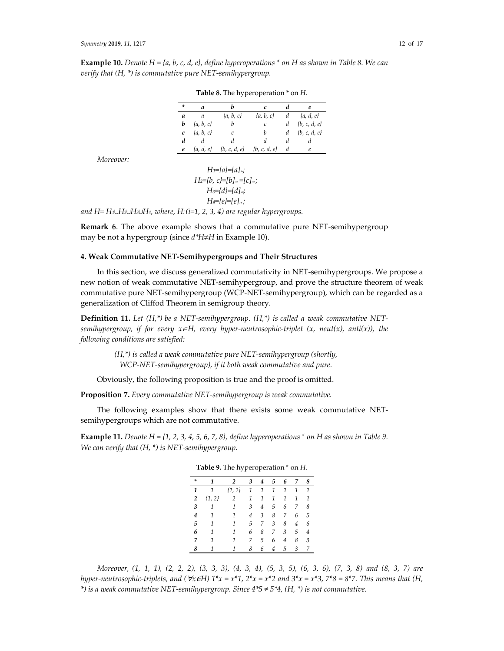**Example 10.** *Denote H = {a, b, c, d, e}, define hyperoperations \* on H as shown in Table 8. We can verify that (H, \*) is commutative pure NET-semihypergroup.* 

| ÷             | a              | h                              | C.                | d | e                  |
|---------------|----------------|--------------------------------|-------------------|---|--------------------|
| a             | $\overline{a}$ | $\{a, b, c\}$                  | $\{a, b, c\}$     |   | $d \{a, d, e\}$    |
| b             | $\{a, b, c\}$  | $\boldsymbol{b}$               | $\mathcal{C}_{0}$ |   | $d \{b, c, d, e\}$ |
| $\mathcal{C}$ | $\{a, b, c\}$  | $\overline{c}$                 | b                 | d | $\{b, c, d, e\}$   |
|               | d d            | d                              | d                 | d | $\overline{d}$     |
| e             |                | $\{a, d, e\}$ $\{b, c, d, e\}$ | $\{b, c, d, e\}$  | d | e                  |

**Table 8.** The hyperoperation \* on *H.* 

*Moreover:* 

$$
H_1=[a]=[a]_{\preccurlyeq}
$$
\n
$$
H_2=[b, c]=[b]_{\approx}=[c]_{\approx};
$$
\n
$$
H_3=[d]=[d]_{\preccurlyeq}
$$
\n
$$
H_4=[e]=[e]_{\approx};
$$

*and H= H1∪H2∪H3∪H4, where, Hi (i=1, 2, 3, 4) are regular hypergroups.* 

**Remark 6**. The above example shows that a commutative pure NET-semihypergroup may be not a hypergroup (since *d\*H*≠*H* in Example 10).

### **4. Weak Commutative NET-Semihypergroups and Their Structures**

In this section, we discuss generalized commutativity in NET-semihypergroups. We propose a new notion of weak commutative NET-semihypergroup, and prove the structure theorem of weak commutative pure NET-semihypergroup (WCP-NET-semihypergroup), which can be regarded as a generalization of Cliffod Theorem in semigroup theory.

**Definition 11.** *Let (H,\*) be a NET-semihypergroup. (H,\*) is called a weak commutative NETsemihypergroup, if for every x*∈*H, every hyper-neutrosophic-triplet (x, neut(x), anti(x)), the following conditions are satisfied:* 

> *(H,\*) is called a weak commutative pure NET-semihypergroup (shortly, WCP-NET-semihypergroup), if it both weak commutative and pure.*

Obviously, the following proposition is true and the proof is omitted.

**Proposition 7.** *Every commutative NET-semihypergroup is weak commutative.* 

The following examples show that there exists some weak commutative NETsemihypergroups which are not commutative.

**Example 11.** *Denote H* =  $\{1, 2, 3, 4, 5, 6, 7, 8\}$ , *define hyperoperations*  $*$  *on H as shown in Table 9. We can verify that (H, \*) is NET-semihypergroup.* 

| ÷              | 1          | $\overline{2}$ | 3              | 4              | 5 | 6              | 7              | 8            |
|----------------|------------|----------------|----------------|----------------|---|----------------|----------------|--------------|
| 1              | 1          | $\{1, 2\}$     | 1              | 1              | 1 | 1              | 1              | 1            |
| $\overline{2}$ | $\{1, 2\}$ | 2              | 1              | 1              | 1 | 1              | 1              | $\mathcal I$ |
| 3              | 1          | 1              | 3              | $\overline{4}$ | 5 | 6              | 7              | 8            |
| 4              | 1          | 1              | $\overline{4}$ | 3              | 8 | 7              | 6              | 5            |
| 5              | 1          | 1              | 5              | 7              | 3 | 8              | $\overline{4}$ | 6            |
| 6              | 1          | 1              | 6              | 8              | 7 | 3              | 5              | 4            |
| 7              | 1          | 1              | 7              | 5              | 6 | $\overline{4}$ | 8              | 3            |
| 8              | 1          | 1              | 8              | 6              | 4 | 5              | 3              | 7            |

**Table 9.** The hyperoperation \* on *H.*

*Moreover, (1, 1, 1), (2, 2, 2), (3, 3, 3), (4, 3, 4), (5, 3, 5), (6, 3, 6), (7, 3, 8) and (8, 3, 7) are hyper-neutrosophic-triplets, and (* $\forall x \in H$ )  $1^*x = x^*1$ ,  $2^*x = x^*2$  and  $3^*x = x^*3$ ,  $7^*8 = 8^*7$ . This means that (H, *\*) is a weak commutative NET-semihypergroup. Since 4\*5 ≠ 5\*4, (H, \*) is not commutative.*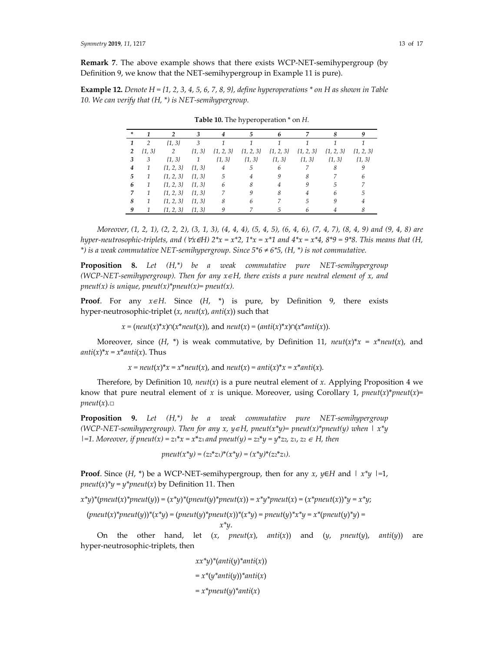**Remark 7**. The above example shows that there exists WCP-NET-semihypergroup (by Definition 9, we know that the NET-semihypergroup in Example 11 is pure).

**Example 12.** *Denote H = {1, 2, 3, 4, 5, 6, 7, 8, 9}, define hyperoperations \* on H as shown in Table 10. We can verify that (H, \*) is NET-semihypergroup.* 

| ÷              |               |                          |                |                |               |            |                             |               |               |
|----------------|---------------|--------------------------|----------------|----------------|---------------|------------|-----------------------------|---------------|---------------|
| 1              | 2             | $\{1, 3\}$               | $\mathbf{3}$   |                |               |            |                             |               |               |
| $\overline{2}$ | $\{1, 3\}$    | 2                        | $\{1, 3\}$     | $\{1, 2, 3\}$  | $\{1, 2, 3\}$ |            | $\{1, 2, 3\}$ $\{1, 2, 3\}$ | $\{1, 2, 3\}$ | $\{1, 2, 3\}$ |
| 3              | 3             | $\{1, 3\}$               | $\overline{1}$ | $\{1, 3\}$     | $\{1, 3\}$    | $\{1, 3\}$ | $\{1, 3\}$                  | $\{1, 3\}$    | $\{1, 3\}$    |
| 4              | 1             | $\{1, 2, 3\}$ $\{1, 3\}$ |                | $\overline{4}$ | 5             | 6          |                             |               |               |
| 5              | 1             | $\{1, 2, 3\}$ $\{1, 3\}$ |                | $5\,$          | 4             |            | 8                           |               |               |
| 6              | 1             | $\{1, 2, 3\}$ $\{1, 3\}$ |                | 6              |               |            |                             |               |               |
|                | $\mathcal{I}$ | $\{1, 2, 3\}$ $\{1, 3\}$ |                |                |               |            |                             | 6             | .h            |
| 8              | 1             | $\{1, 2, 3\}$            | $\{1, 3\}$     |                |               |            |                             |               |               |
| 9              | -1            | $\{1, 2, 3\}$ $\{1, 3\}$ |                |                |               |            |                             |               |               |

**Table 10.** The hyperoperation \* on *H.*

*Moreover, (1, 2, 1), (2, 2, 2), (3, 1, 3), (4, 4, 4), (5, 4, 5), (6, 4, 6), (7, 4, 7), (8, 4, 9) and (9, 4, 8) are hyper-neutrosophic-triplets, and (* $\forall x \in H$ )  $2^*x = x^*2$ ,  $1^*x = x^*1$  and  $4^*x = x^*4$ ,  $8^*9 = 9^*8$ . This means that (H, *\*) is a weak commutative NET-semihypergroup. Since 5\*6 ≠ 6\*5, (H, \*) is not commutative.* 

**Proposition 8.** *Let (H,\*) be a weak commutative pure NET-semihypergroup (WCP-NET-semihypergroup). Then for any x*∈*H, there exists a pure neutral element of x, and pneut(x) is unique, pneut(x)\*pneut(x)= pneut(x).* 

**Proof**. For any *x*∈*H*. Since (*H*, \*) is pure, by Definition 9, there exists hyper-neutrosophic-triplet (*x*, *neut*(*x*), *anti*(*x*)) such that

*x* =  $(\text{neut}(x) * x) ∩ (x * \text{neut}(x))$ , and  $\text{neut}(x) = (\text{anti}(x) * x) ∩ (x * \text{anti}(x))$ .

Moreover, since  $(H, * )$  is weak commutative, by Definition 11,  $neut(x)*x = x*neut(x)$ , and *anti*(*x*)\* $x = x^*$ *anti*(*x*). Thus

$$
x = neut(x)^*x = x^*neut(x)
$$
, and  $neut(x) = anti(x)^*x = x^*anti(x)$ .

Therefore, by Definition 10,  $neut(x)$  is a pure neutral element of *x*. Applying Proposition 4 we know that pure neutral element of *x* is unique. Moreover, using Corollary 1,  $pneut(x)*pneut(x)$ =  $pneut(x)$ . $\Box$ 

**Proposition 9.** *Let (H,\*) be a weak commutative pure NET-semihypergroup (WCP-NET-semihypergroup). Then for any x, y*∈*H, pneut(x\*y)= pneut(x)\*pneut(y) when | x\*y |=1. Moreover, if pneut(x) = z*1\**x = x*\**z*1 *and pneut(y) = z*2\**y = y*\**z*2*, z*1, *z*<sup>2</sup> <sup>∈</sup> *H, then* 

*pneut*(
$$
x^*y
$$
) =  $(z_2^*z_1)^*(x^*y) = (x^*y)^*(z_2^*z_1)$ .

**Proof**. Since (*H*, \*) be a WCP-NET-semihypergroup, then for any *x*, *y*∈*H* and *| x\*y |=*1, *pneut*(*x*)<sup>\*</sup> $y = y$ <sup>\*</sup>*pneut*(*x*) by Definition 11. Then

 $x^*y$ <sup>\*</sup>(pneut(*x*)<sup>\*</sup>pneut(*y*)) = (*x\*y*)<sup>\*</sup>(pneut(*y*)<sup>\*</sup>pneut(*x*)) =  $x^*y^*pneut(x) = (x^*pneut(x))^*y = x^*y;$ 

$$
(pneut(x)^*pneut(y))^*(x^*y) = (pneut(y)^*pneut(x))^*(x^*y) = pneut(y)^*x^*y = x^*(pneut(y)^*y) = x^*y.
$$

On the other hand, let  $(x, pneut(x), anti(x))$  and  $(y, pneut(y), anti(y))$  are hyper-neutrosophic-triplets, then

> *xx\*y*)*\**(*anti*(*y*)*\*anti*(*x*))  $= x^*(y^*anti(y))^*anti(x)$  $= x^*pneut(y)^*anti(x)$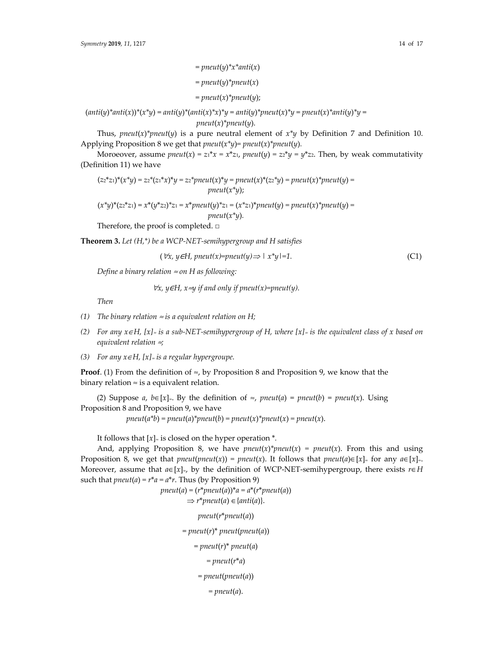$=$  *pneut*( $\nu$ )<sup>\*</sup> $x$ <sup>\*</sup> $anti(x)$  $=$  *pneut*(*y*)<sup>\*</sup> *pneut*(*x*)  $=$  *pneut*(*x*)<sup>\*</sup>*pneut*(*y*);

 $(anti(y)^*anti(x))^*(x^*y) = anti(y)^*(anti(x)^*x)^*y = anti(y)^*pneut(x)^*y = pneut(x)^*anti(y)^*y =$ *pneut*(*x*)*\*pneut*(*y*).

Thus, *pneut*(*x*)<sup>\*</sup>*pneut*(*y*) is a pure neutral element of  $x^*y$  by Definition 7 and Definition 10. Applying Proposition 8 we get that *pneut*(*x\*y*)*= pneut*(*x*)*\*pneut*(*y*)*.*

Moroeover, assume *pneut*(*x*) =  $z_1 * x = x * z_1$ , *pneut*(*y*) =  $z_2 * y = y * z_2$ . Then, by weak commutativity (Definition 11) we have

$$
(z_2 * z_1) * (x^*y) = z_2 * (z_1 * x)^*y = z_2 * pneut(x)^*y = pneut(x)^* (z_2 * y) = pneut(x)^*pneut(y) =
$$
  
 
$$
pneut(x^*y);
$$

$$
(x^*y)^*(zz^*z_1) = x^*(y^*z_2)^*z_1 = x^*pneut(y)^*z_1 = (x^*z_1)^*pneut(y) = pneut(x)^*pneut(y) =
$$
  
 
$$
pneut(x^*y).
$$

Therefore, the proof is completed. □

**Theorem 3.** *Let (H,\*) be a WCP-NET-semihypergroup and H satisfies* 

$$
(\forall x, y \in H, \text{pneut}(x) = \text{pneut}(y) \Longrightarrow |x^*y| = 1. \tag{C1}
$$

*Define a binary relation* ≈ *on H as following:* 

∀*x, y*∈*H, x*≈*y if and only if pneut(x)=pneut(y).* 

*Then* 

- *(1) The binary relation*  $\approx$  *is a equivalent relation on H;*
- *(2) For any x*∈*H, [x]*≈ *is a sub-NET-semihypergroup of H, where [x]*≈ *is the equivalent class of x based on equivalent relation* ≈*;*
- *(3) For any x*∈*H, [x]*≈ *is a regular hypergroupe.*

**Proof.** (1) From the definition of  $\approx$ , by Proposition 8 and Proposition 9, we know that the binary relation  $\approx$  is a equivalent relation.

(2) Suppose *a*, *b*∈[*x*]≈. By the definition of ≈, *pneut*(*a*) = *pneut*(*b*) = *pneut*(*x*). Using Proposition 8 and Proposition 9, we have

 $pneut(a * b) = pneut(a) * pneut(b) = pneut(x) * pneut(x) = pneut(x)$ .

It follows that  $[x] \approx$  is closed on the hyper operation  $*$ .

And, applying Proposition 8, we have  $pneut(x)^*pneut(x) = pneut(x)$ . From this and using Proposition 8, we get that *pneut*(*pneut*(*x*)) = *pneut*(*x*). It follows that *pneut*(*a*)∈[*x*]≈ for any *a*∈[*x*]≈. Moreover, assume that  $a \in [x]_{\approx}$ , by the definition of WCP-NET-semihypergroup, there exists  $r \in H$ such that  $pneut(a) = r^*a = a^*r$ . Thus (by Proposition 9)

> $pneut(a) = (r^*pneut(a))^*a = a^*(r^*pneut(a))$  $\Rightarrow$  *r*\**pneut*(*a*)  $\in$  {*anti*(*a*)}. *pneut*(*r*\**pneut*(*a*)) = *pneut*(*r*)\* *pneut*(*pneut*(*a*))  $=$  pneut(*r*) $*$  pneut(*a*) *= pneut*(*r*\**a*) = *pneut*(*pneut*(*a*)) *= pneut*(*a*).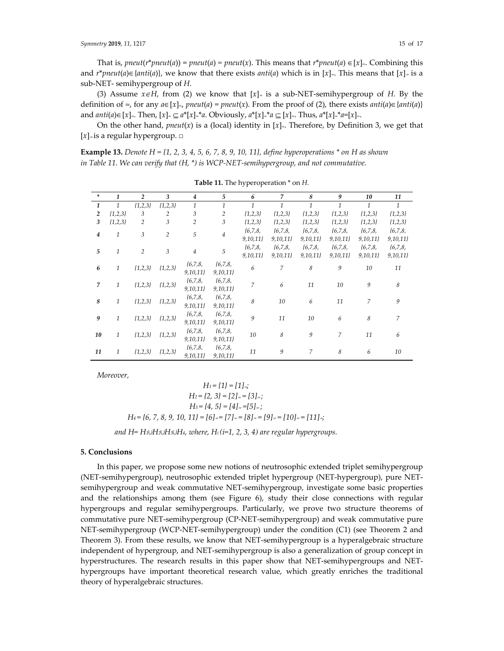That is, *pneut*( $r^*$ *pneut*(*a*)) = *pneut*(*a*) = *pneut*(*x*). This means that  $r^*$ *pneut*(*a*)  $\in [x]_n$ . Combining this and *r*<sup>\*</sup>*pneut*(*a*)∈{*anti*(*a*)}, we know that there exists *anti*(*a*) which is in [*x*]≈. This means that [*x*]≈ is a sub-NET- semihypergroup of *H.*

(3) Assume  $x \in H$ , from (2) we know that  $[x]_{\infty}$  is a sub-NET-semihypergroup of *H*. By the definition of ≈, for any  $a \in [x]_p$ , *pneut*(*a*) = *pneut*(*x*). From the proof of (2), there exists *anti*(*a*)∈{*anti*(*a*)} and  $anti(a) \in [x]_∞$ . Then,  $[x]_∞ \subset a^*[x]_∞^*a$ . Obviously,  $a^*[x]_∞^*a ⊂ [x]_∞$ . Thus,  $a^*[x]_∞^*a=[x]_∞$ .

On the other hand, *pneut*(*x*) is a (local) identity in  $[x]_2$ . Therefore, by Definition 3, we get that [*x*]<sup>≈</sup> is a regular hypergroup. □

**Example 13.** *Denote H = {1, 2, 3, 4, 5, 6, 7, 8, 9, 10, 11}, define hyperoperations \* on H as shown in Table 11. We can verify that (H, \*) is WCP-NET-semihypergroup, and not commutative.* 

| $\ast$         | 1            | $\overline{c}$ | 3              | 4              | 5              | 6              | $\overline{7}$ | 8             | 9            | 10             | 11               |
|----------------|--------------|----------------|----------------|----------------|----------------|----------------|----------------|---------------|--------------|----------------|------------------|
| $\mathbf{1}$   | 1            | ${1,2,3}$      | ${1,2,3}$      | $\mathbf{1}$   | $\mathbf{1}$   | $\mathcal{I}$  | $\mathbf{1}$   | $\mathcal{I}$ | $\mathbf{1}$ | $\mathcal{I}$  | $\mathbf{1}$     |
| $\overline{c}$ | ${1,2,3}$    | 3              | $\overline{2}$ | 3              | $\overline{2}$ | ${1,2,3}$      | ${1,2,3}$      | ${1,2,3}$     | ${1,2,3}$    | ${1,2,3}$      | ${1,2,3}$        |
| 3              | ${1,2,3}$    | $\overline{c}$ | 3              | $\overline{2}$ | 3              | ${1,2,3}$      | ${1,2,3}$      | ${1,2,3}$     | ${1,2,3}$    | ${1,2,3}$      | ${1,2,3}$        |
| $\overline{4}$ | $\mathbf{1}$ | 3              | $\overline{c}$ | 5              | $\overline{4}$ | ${6,7,8}$      | ${6,7,8}$      | ${6,7,8}$     | ${6,7,8}$    | ${6,7,8}$      | ${6,7,8}$        |
|                |              |                |                |                |                | 9,10,11        | 9,10,11        | 9,10,11       | 9,10,11      | 9,10,11        | 9,10,11          |
| 5              | 1            | $\overline{c}$ | 3              | $\sqrt{4}$     | 5              | ${6,7,8}$      | ${6,7,8}$      | ${6,7,8}$     | ${6,7,8}$    | ${6,7,8}$      | ${6,7,8}$        |
|                |              |                |                |                |                | 9,10,11        | 9,10,11        | 9,10,11       | 9,10,11      | 9,10,11        | 9,10,11          |
| 6              | $\mathbf{1}$ | ${1,2,3}$      | ${1,2,3}$      | ${6,7,8}$      | ${6,7,8}$      | 6              | 7              | 8             | 9            | 10             | 11               |
|                |              |                |                | 9,10,11        | 9,10,11}       |                |                |               |              |                |                  |
| $\overline{7}$ | $\mathbf{1}$ | ${1,2,3}$      | ${1,2,3}$      | ${6,7,8}$      | ${6,7,8}$      | $\overline{7}$ | 6              | 11            | 10           | 9              | 8                |
|                |              |                |                | 9,10,11        | 9,10,11        |                |                |               |              |                |                  |
| 8              | $\mathbf{1}$ | ${1,2,3}$      | ${1,2,3}$      | ${6,7,8}$      | ${6,7,8}$      | 8              | 10             | 6             | 11           | $\overline{7}$ | $\boldsymbol{9}$ |
|                |              |                |                | 9,10,11        | 9,10,11        |                |                |               |              |                |                  |
| 9              | $\mathbf{1}$ | ${1,2,3}$      | ${1,2,3}$      | ${6,7,8}$      | ${6,7,8}$      | 9              | 11             | 10            | 6            | 8              | 7                |
|                |              |                |                | 9,10,11        | 9,10,11}       |                |                |               |              |                |                  |
| 10             | $\mathbf{1}$ | ${1,2,3}$      | ${1,2,3}$      | ${6,7,8}$      | ${6,7,8}$      | 10             | 8              | 9             | 7            | 11             | 6                |
|                |              |                |                | 9,10,11        | 9,10,11}       |                |                |               |              |                |                  |
| 11             | 1            | ${1,2,3}$      | ${1,2,3}$      | ${6,7,8}$      | ${6,7,8}$      | 11             | 9              | 7             | 8            | 6              | 10               |
|                |              |                |                | 9,10,11        | 9,10,11        |                |                |               |              |                |                  |

**Table 11.** The hyperoperation \* on *H.*

*Moreover,* 

 $H_1 = \{1\} = [1]_{\approx}$ *H*<sub>2</sub> = {2*,* 3} = [2]≈ = [3]≈*; H<sub>3</sub>* = {4*, 5*} = [4]≈ =[5]≈*; H*<sub>4</sub> = {6, 7, 8, 9, 10, 11} = [6]≈ = [7]≈ = [8]≈ = [9]≈ = [10]≈ = [11]≈*;* 

*and H= H1∪H2∪H3∪H4, where, Hi (i=1, 2, 3, 4) are regular hypergroups.*

## **5. Conclusions**

In this paper, we propose some new notions of neutrosophic extended triplet semihypergroup (NET-semihypergroup), neutrosophic extended triplet hypergroup (NET-hypergroup), pure NETsemihypergroup and weak commutative NET-semihypergroup, investigate some basic properties and the relationships among them (see Figure 6), study their close connections with regular hypergroups and regular semihypergroups. Particularly, we prove two structure theorems of commutative pure NET-semihypergroup (CP-NET-semihypergroup) and weak commutative pure NET-semihypergroup (WCP-NET-semihypergroup) under the condition (C1) (see Theorem 2 and Theorem 3). From these results, we know that NET-semihypergroup is a hyperalgebraic structure independent of hypergroup, and NET-semihypergroup is also a generalization of group concept in hyperstructures. The research results in this paper show that NET-semihypergroups and NEThypergroups have important theoretical research value, which greatly enriches the traditional theory of hyperalgebraic structures.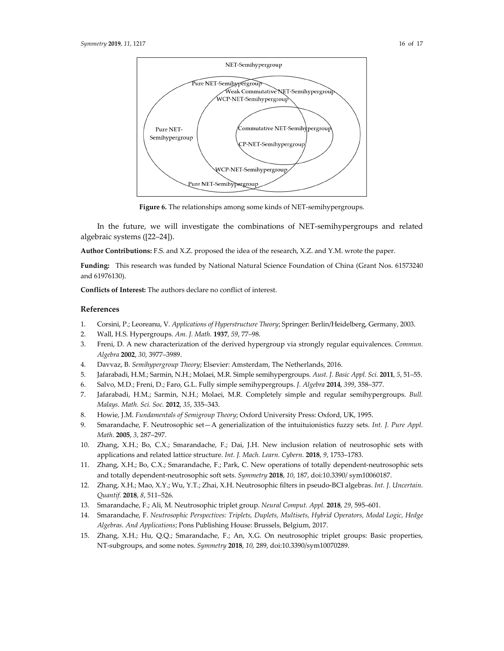

**Figure 6.** The relationships among some kinds of NET-semihypergroups.

In the future, we will investigate the combinations of NET-semihypergroups and related algebraic systems ([22–24]).

**Author Contributions:** F.S. and X.Z. proposed the idea of the research, X.Z. and Y.M. wrote the paper.

**Funding:** This research was funded by National Natural Science Foundation of China (Grant Nos. 61573240 and 61976130).

**Conflicts of Interest:** The authors declare no conflict of interest.

#### **References**

- 1. Corsini, P.; Leoreanu, V. *Applications of Hyperstructure Theory*; Springer: Berlin/Heidelberg, Germany, 2003.
- 2. Wall, H.S. Hypergroups. *Am. J. Math.* **1937**, *59*, 77–98.
- 3. Freni, D. A new characterization of the derived hypergroup via strongly regular equivalences. *Commun. Algebra* **2002**, *30*, 3977–3989.
- 4. Davvaz, B. *Semihypergroup Theory*; Elsevier: Amsterdam, The Netherlands, 2016.
- 5. Jafarabadi, H.M.; Sarmin, N.H.; Molaei, M.R. Simple semihypergroups. *Aust. J. Basic Appl. Sci.* **2011**, *5*, 51–55.
- 6. Salvo, M.D.; Freni, D.; Faro, G.L. Fully simple semihypergroups. *J. Algebra* **2014**, *399*, 358–377.
- 7. Jafarabadi, H.M.; Sarmin, N.H.; Molaei, M.R. Completely simple and regular semihypergroups. *Bull. Malays. Math. Sci. Soc.* **2012**, *35*, 335–343.
- 8. Howie, J.M. *Fundamentals of Semigroup Theory*; Oxford University Press: Oxford, UK, 1995.
- 9. Smarandache, F. Neutrosophic set—A generialization of the intuituionistics fuzzy sets. *Int. J. Pure Appl. Math.* **2005**, *3*, 287–297.
- 10. Zhang, X.H.; Bo, C.X.; Smarandache, F.; Dai, J.H. New inclusion relation of neutrosophic sets with applications and related lattice structure. *Int. J. Mach. Learn. Cybern.* **2018**, *9*, 1753–1783.
- 11. Zhang, X.H.; Bo, C.X.; Smarandache, F.; Park, C. New operations of totally dependent-neutrosophic sets and totally dependent-neutrosophic soft sets. *Symmetry* **2018**, *10*, 187, doi:10.3390/ sym10060187.
- 12. Zhang, X.H.; Mao, X.Y.; Wu, Y.T.; Zhai, X.H. Neutrosophic filters in pseudo-BCI algebras. *Int. J. Uncertain. Quantif.* **2018**, *8*, 511–526.
- 13. Smarandache, F.; Ali, M. Neutrosophic triplet group. *Neural Comput. Appl.* **2018**, *29*, 595–601.
- 14. Smarandache, F. *Neutrosophic Perspectives: Triplets, Duplets, Multisets, Hybrid Operators, Modal Logic, Hedge Algebras. And Applications*; Pons Publishing House: Brussels, Belgium, 2017.
- 15. Zhang, X.H.; Hu, Q.Q.; Smarandache, F.; An, X.G. On neutrosophic triplet groups: Basic properties, NT-subgroups, and some notes. *Symmetry* **2018**, *10*, 289, doi:10.3390/sym10070289.